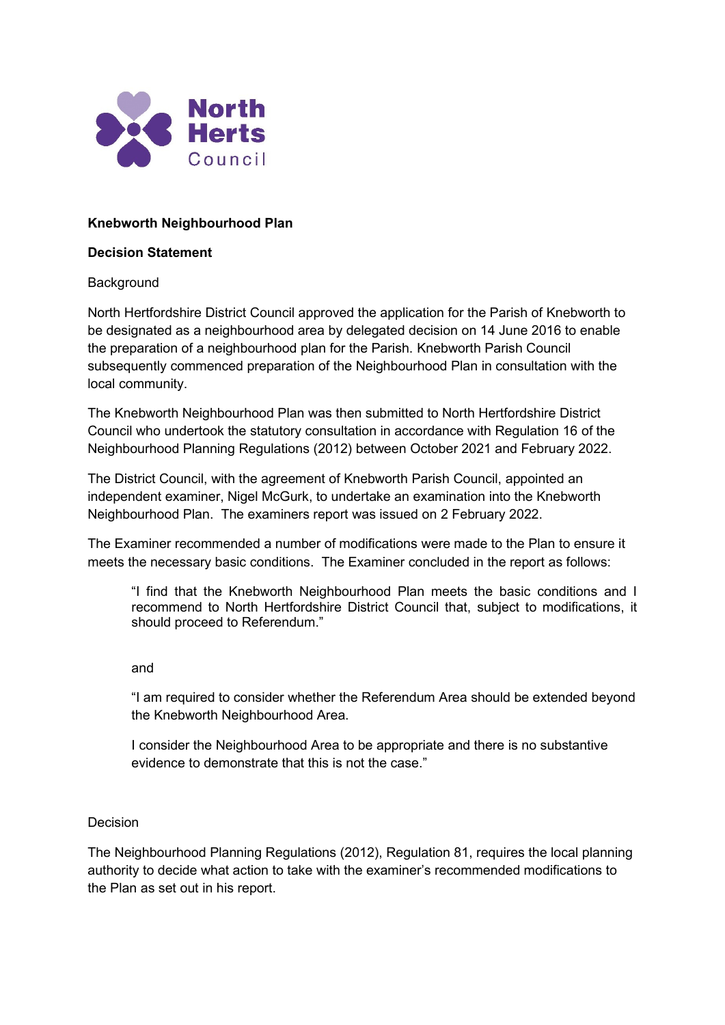

# **Knebworth Neighbourhood Plan**

### **Decision Statement**

## **Background**

North Hertfordshire District Council approved the application for the Parish of Knebworth to be designated as a neighbourhood area by delegated decision on 14 June 2016 to enable the preparation of a neighbourhood plan for the Parish. Knebworth Parish Council subsequently commenced preparation of the Neighbourhood Plan in consultation with the local community.

The Knebworth Neighbourhood Plan was then submitted to North Hertfordshire District Council who undertook the statutory consultation in accordance with Regulation 16 of the Neighbourhood Planning Regulations (2012) between October 2021 and February 2022.

The District Council, with the agreement of Knebworth Parish Council, appointed an independent examiner, Nigel McGurk, to undertake an examination into the Knebworth Neighbourhood Plan. The examiners report was issued on 2 February 2022.

The Examiner recommended a number of modifications were made to the Plan to ensure it meets the necessary basic conditions. The Examiner concluded in the report as follows:

"I find that the Knebworth Neighbourhood Plan meets the basic conditions and I recommend to North Hertfordshire District Council that, subject to modifications, it should proceed to Referendum."

#### and

"I am required to consider whether the Referendum Area should be extended beyond the Knebworth Neighbourhood Area.

I consider the Neighbourhood Area to be appropriate and there is no substantive evidence to demonstrate that this is not the case."

## Decision

The Neighbourhood Planning Regulations (2012), Regulation 81, requires the local planning authority to decide what action to take with the examiner's recommended modifications to the Plan as set out in his report.